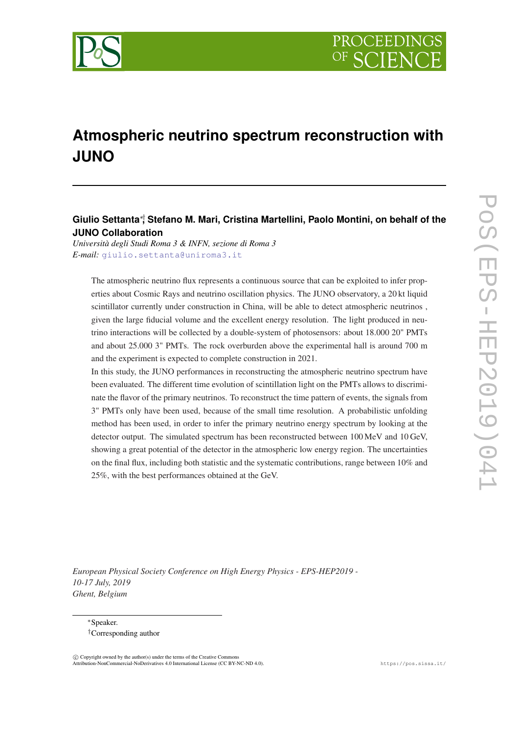

# **Atmospheric neutrino spectrum reconstruction with JUNO**

## **Giulio Settanta**∗†**, Stefano M. Mari, Cristina Martellini, Paolo Montini, on behalf of the JUNO Collaboration**

*Università degli Studi Roma 3 & INFN, sezione di Roma 3 E-mail:* [giulio.settanta@uniroma3.it](mailto:giulio.settanta@uniroma3.it)

The atmospheric neutrino flux represents a continuous source that can be exploited to infer properties about Cosmic Rays and neutrino oscillation physics. The JUNO observatory, a 20 kt liquid scintillator currently under construction in China, will be able to detect atmospheric neutrinos , given the large fiducial volume and the excellent energy resolution. The light produced in neutrino interactions will be collected by a double-system of photosensors: about 18.000 20" PMTs and about 25.000 3" PMTs. The rock overburden above the experimental hall is around 700 m and the experiment is expected to complete construction in 2021.

In this study, the JUNO performances in reconstructing the atmospheric neutrino spectrum have been evaluated. The different time evolution of scintillation light on the PMTs allows to discriminate the flavor of the primary neutrinos. To reconstruct the time pattern of events, the signals from 3" PMTs only have been used, because of the small time resolution. A probabilistic unfolding method has been used, in order to infer the primary neutrino energy spectrum by looking at the detector output. The simulated spectrum has been reconstructed between 100 MeV and 10 GeV, showing a great potential of the detector in the atmospheric low energy region. The uncertainties on the final flux, including both statistic and the systematic contributions, range between 10% and 25%, with the best performances obtained at the GeV.

*European Physical Society Conference on High Energy Physics - EPS-HEP2019 - 10-17 July, 2019 Ghent, Belgium*

<sup>∗</sup>Speaker. †Corresponding author

 $\overline{c}$  Copyright owned by the author(s) under the terms of the Creative Common Attribution-NonCommercial-NoDerivatives 4.0 International License (CC BY-NC-ND 4.0). https://pos.sissa.it/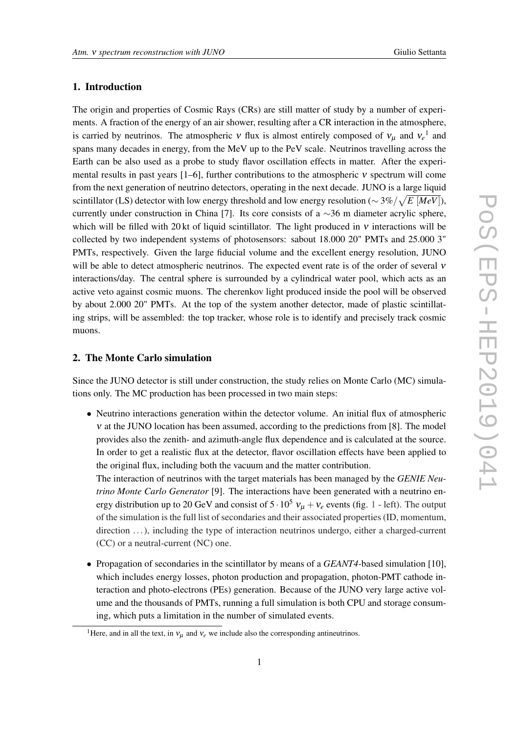## 1. Introduction

The origin and properties of Cosmic Rays (CRs) are still matter of study by a number of experiments. A fraction of the energy of an air shower, resulting after a CR interaction in the atmosphere, is carried by neutrinos. The atmospheric v flux is almost entirely composed of  $v_{\mu}$  and  $v_e$ <sup>1</sup> and spans many decades in energy, from the MeV up to the PeV scale. Neutrinos travelling across the Earth can be also used as a probe to study flavor oscillation effects in matter. After the experimental results in past years  $[1-6]$ , further contributions to the atmospheric  $\nu$  spectrum will come from the next generation of neutrino detectors, operating in the next decade. JUNO is a large liquid scintillator (LS) detector with low energy threshold and low energy resolution (∼ 3%/ p *E* [*MeV*]), currently under construction in China [7]. Its core consists of a ∼36 m diameter acrylic sphere, which will be filled with 20 kt of liquid scintillator. The light produced in  $\nu$  interactions will be collected by two independent systems of photosensors: sabout 18.000 20" PMTs and 25.000 3" PMTs, respectively. Given the large fiducial volume and the excellent energy resolution, JUNO will be able to detect atmospheric neutrinos. The expected event rate is of the order of several ν interactions/day. The central sphere is surrounded by a cylindrical water pool, which acts as an active veto against cosmic muons. The cherenkov light produced inside the pool will be observed by about 2.000 20" PMTs. At the top of the system another detector, made of plastic scintillating strips, will be assembled: the top tracker, whose role is to identify and precisely track cosmic muons.

#### 2. The Monte Carlo simulation

Since the JUNO detector is still under construction, the study relies on Monte Carlo (MC) simulations only. The MC production has been processed in two main steps:

• Neutrino interactions generation within the detector volume. An initial flux of atmospheric ν at the JUNO location has been assumed, according to the predictions from [8]. The model provides also the zenith- and azimuth-angle flux dependence and is calculated at the source. In order to get a realistic flux at the detector, flavor oscillation effects have been applied to the original flux, including both the vacuum and the matter contribution.

The interaction of neutrinos with the target materials has been managed by the *GENIE Neutrino Monte Carlo Generator* [9]. The interactions have been generated with a neutrino energy distribution up to 20 GeV and consist of  $5 \cdot 10^5$  $5 \cdot 10^5$  $5 \cdot 10^5$   $v_u + v_e$  events (fig. 1 - left). The output of the simulation is the full list of secondaries and their associated properties (ID, momentum, direction ...), including the type of interaction neutrinos undergo, either a charged-current (CC) or a neutral-current (NC) one.

• Propagation of secondaries in the scintillator by means of a *GEANT4-*based simulation [10], which includes energy losses, photon production and propagation, photon-PMT cathode interaction and photo-electrons (PEs) generation. Because of the JUNO very large active volume and the thousands of PMTs, running a full simulation is both CPU and storage consuming, which puts a limitation in the number of simulated events.

<sup>&</sup>lt;sup>1</sup>Here, and in all the text, in  $v_\mu$  and  $v_e$  we include also the corresponding antineutrinos.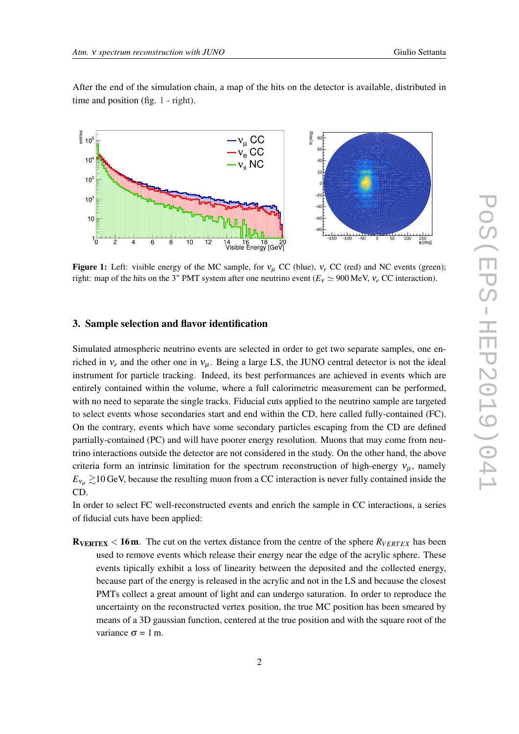<span id="page-2-0"></span>After the end of the simulation chain, a map of the hits on the detector is available, distributed in time and position (fig. 1 - right).



Figure 1: Left: visible energy of the MC sample, for  $v_\mu$  CC (blue),  $v_e$  CC (red) and NC events (green); right: map of the hits on the 3" PMT system after one neutrino event  $(E_v \simeq 900 \text{ MeV}, v_e \text{ CC interaction})$ .

## 3. Sample selection and flavor identification

Simulated atmospheric neutrino events are selected in order to get two separate samples, one enriched in  $v_e$  and the other one in  $v_\mu$ . Being a large LS, the JUNO central detector is not the ideal instrument for particle tracking. Indeed, its best performances are achieved in events which are entirely contained within the volume, where a full calorimetric measurement can be performed, with no need to separate the single tracks. Fiducial cuts applied to the neutrino sample are targeted to select events whose secondaries start and end within the CD, here called fully-contained (FC). On the contrary, events which have some secondary particles escaping from the CD are defined partially-contained (PC) and will have poorer energy resolution. Muons that may come from neutrino interactions outside the detector are not considered in the study. On the other hand, the above criteria form an intrinsic limitation for the spectrum reconstruction of high-energy  $v_{\mu}$ , namely  $E_{v_{\mu}} \gtrsim 10$  GeV, because the resulting muon from a CC interaction is never fully contained inside the CD.

In order to select FC well-reconstructed events and enrich the sample in CC interactions, a series of fiducial cuts have been applied:

 $R_{VERTEX}$  < 16m. The cut on the vertex distance from the centre of the sphere  $R_{VERTEX}$  has been used to remove events which release their energy near the edge of the acrylic sphere. These events tipically exhibit a loss of linearity between the deposited and the collected energy, because part of the energy is released in the acrylic and not in the LS and because the closest PMTs collect a great amount of light and can undergo saturation. In order to reproduce the uncertainty on the reconstructed vertex position, the true MC position has been smeared by means of a 3D gaussian function, centered at the true position and with the square root of the variance  $\sigma = 1$  m.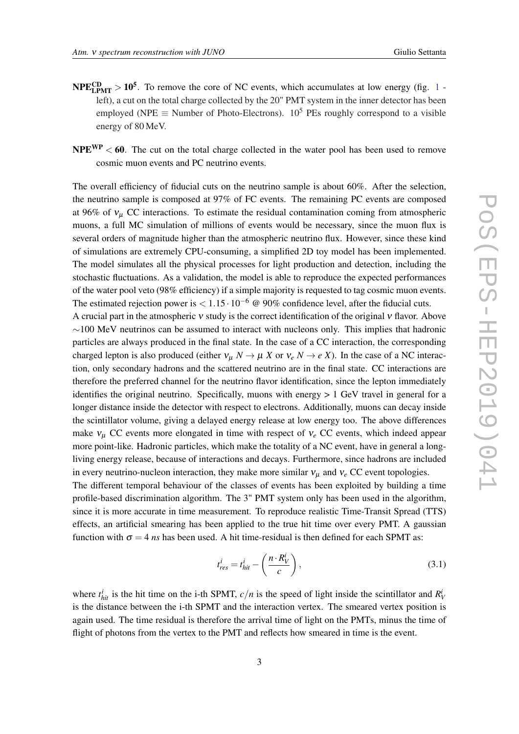- $NPE_{LPMT}^{CD} > 10^5$  $NPE_{LPMT}^{CD} > 10^5$  $NPE_{LPMT}^{CD} > 10^5$ . To remove the core of NC events, which accumulates at low energy (fig. 1 left), a cut on the total charge collected by the 20" PMT system in the inner detector has been employed (NPE  $\equiv$  Number of Photo-Electrons). 10<sup>5</sup> PEs roughly correspond to a visible energy of 80 MeV.
- $NPE<sup>WP</sup> < 60$ . The cut on the total charge collected in the water pool has been used to remove cosmic muon events and PC neutrino events.

The overall efficiency of fiducial cuts on the neutrino sample is about 60%. After the selection, the neutrino sample is composed at 97% of FC events. The remaining PC events are composed at 96% of  $v_{\mu}$  CC interactions. To estimate the residual contamination coming from atmospheric muons, a full MC simulation of millions of events would be necessary, since the muon flux is several orders of magnitude higher than the atmospheric neutrino flux. However, since these kind of simulations are extremely CPU-consuming, a simplified 2D toy model has been implemented. The model simulates all the physical processes for light production and detection, including the stochastic fluctuations. As a validation, the model is able to reproduce the expected performances of the water pool veto (98% efficiency) if a simple majority is requested to tag cosmic muon events. The estimated rejection power is  $< 1.15 \cdot 10^{-6}$  @ 90% confidence level, after the fiducial cuts.

A crucial part in the atmospheric ν study is the correct identification of the original ν flavor. Above  $\sim$ 100 MeV neutrinos can be assumed to interact with nucleons only. This implies that hadronic particles are always produced in the final state. In the case of a CC interaction, the corresponding charged lepton is also produced (either  $v_{\mu} N \rightarrow \mu X$  or  $v_e N \rightarrow e X$ ). In the case of a NC interaction, only secondary hadrons and the scattered neutrino are in the final state. CC interactions are therefore the preferred channel for the neutrino flavor identification, since the lepton immediately identifies the original neutrino. Specifically, muons with energy > 1 GeV travel in general for a longer distance inside the detector with respect to electrons. Additionally, muons can decay inside the scintillator volume, giving a delayed energy release at low energy too. The above differences make  $v_\mu$  CC events more elongated in time with respect of  $v_e$  CC events, which indeed appear more point-like. Hadronic particles, which make the totality of a NC event, have in general a longliving energy release, because of interactions and decays. Furthermore, since hadrons are included in every neutrino-nucleon interaction, they make more similar  $v_\mu$  and  $v_e$  CC event topologies.

The different temporal behaviour of the classes of events has been exploited by building a time profile-based discrimination algorithm. The 3" PMT system only has been used in the algorithm, since it is more accurate in time measurement. To reproduce realistic Time-Transit Spread (TTS) effects, an artificial smearing has been applied to the true hit time over every PMT. A gaussian function with  $\sigma = 4$  *ns* has been used. A hit time-residual is then defined for each SPMT as:

$$
t_{res}^i = t_{hit}^i - \left(\frac{n \cdot R_V^i}{c}\right),\tag{3.1}
$$

where  $t_{hit}^i$  is the hit time on the i-th SPMT,  $c/n$  is the speed of light inside the scintillator and  $R_V^i$ is the distance between the i-th SPMT and the interaction vertex. The smeared vertex position is again used. The time residual is therefore the arrival time of light on the PMTs, minus the time of flight of photons from the vertex to the PMT and reflects how smeared in time is the event.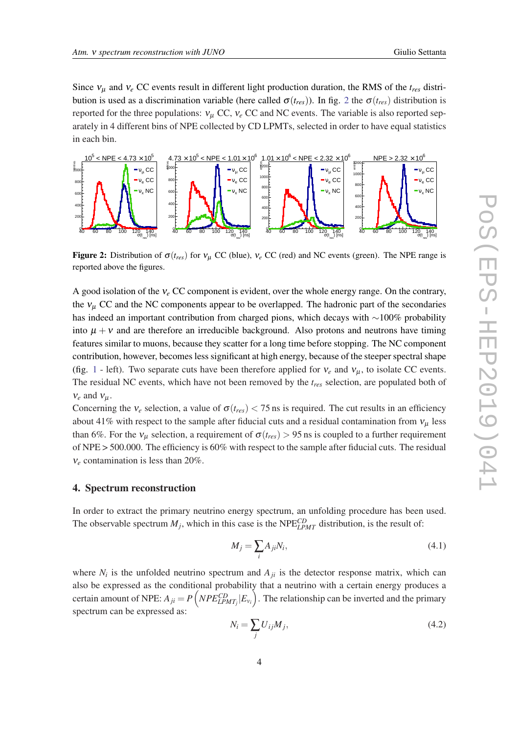Since  $v_{\mu}$  and  $v_e$  CC events result in different light production duration, the RMS of the  $t_{res}$  distribution is used as a discrimination variable (here called  $\sigma(t_{res})$ ). In fig. 2 the  $\sigma(t_{res})$  distribution is reported for the three populations:  $v_{\mu}$  CC,  $v_{e}$  CC and NC events. The variable is also reported separately in 4 different bins of NPE collected by CD LPMTs, selected in order to have equal statistics in each bin.



Figure 2: Distribution of  $\sigma(t_{res})$  for  $v_u$  CC (blue),  $v_e$  CC (red) and NC events (green). The NPE range is reported above the figures.

A good isolation of the ν*<sup>e</sup>* CC component is evident, over the whole energy range. On the contrary, the  $v_\mu$  CC and the NC components appear to be overlapped. The hadronic part of the secondaries has indeed an important contribution from charged pions, which decays with ∼100% probability into  $\mu + v$  and are therefore an irreducible background. Also protons and neutrons have timing features similar to muons, because they scatter for a long time before stopping. The NC component contribution, however, becomes less significant at high energy, because of the steeper spectral shape (fig. [1](#page-2-0) - left). Two separate cuts have been therefore applied for  $v_e$  and  $v_\mu$ , to isolate CC events. The residual NC events, which have not been removed by the *tres* selection, are populated both of  $v_e$  and  $v_\mu$ .

Concerning the  $v_e$  selection, a value of  $\sigma(t_{res})$  < 75 ns is required. The cut results in an efficiency about 41% with respect to the sample after fiducial cuts and a residual contamination from  $v_{\mu}$  less than 6%. For the  $v_\mu$  selection, a requirement of  $\sigma(t_{res}) > 95$  ns is coupled to a further requirement of NPE > 500.000. The efficiency is 60% with respect to the sample after fiducial cuts. The residual ν*<sup>e</sup>* contamination is less than 20%.

#### 4. Spectrum reconstruction

In order to extract the primary neutrino energy spectrum, an unfolding procedure has been used. The observable spectrum  $M_j$ , which in this case is the NPE<sup>CD</sup><sub>LPMT</sub> distribution, is the result of:

$$
M_j = \sum_i A_{ji} N_i,\tag{4.1}
$$

where  $N_i$  is the unfolded neutrino spectrum and  $A_{ji}$  is the detector response matrix, which can also be expressed as the conditional probability that a neutrino with a certain energy produces a certain amount of NPE:  $A_{ji} = P\left(NP_{E\text{-}LPMT_j}|E_{\text{v}_i}\right)$ . The relationship can be inverted and the primary spectrum can be expressed as:

$$
N_i = \sum_j U_{ij} M_j,\tag{4.2}
$$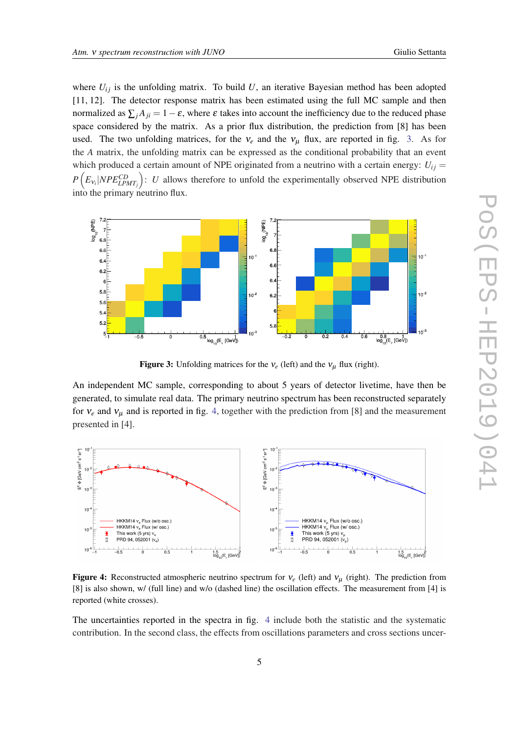where  $U_{ij}$  is the unfolding matrix. To build  $U$ , an iterative Bayesian method has been adopted [11, 12]. The detector response matrix has been estimated using the full MC sample and then normalized as  $\sum_i A_{ii} = 1 - \varepsilon$ , where  $\varepsilon$  takes into account the inefficiency due to the reduced phase space considered by the matrix. As a prior flux distribution, the prediction from [8] has been used. The two unfolding matrices, for the  $v_e$  and the  $v_\mu$  flux, are reported in fig. 3. As for the *A* matrix, the unfolding matrix can be expressed as the conditional probability that an event which produced a certain amount of NPE originated from a neutrino with a certain energy:  $U_{ij} =$  $P(E_{\nu_i}|NPE_{LPMT_j}^{CD})$ : *U* allows therefore to unfold the experimentally observed NPE distribution into the primary neutrino flux.



Figure 3: Unfolding matrices for the  $v_e$  (left) and the  $v_\mu$  flux (right).

An independent MC sample, corresponding to about 5 years of detector livetime, have then be generated, to simulate real data. The primary neutrino spectrum has been reconstructed separately for  $v_e$  and  $v_\mu$  and is reported in fig. 4, together with the prediction from [8] and the measurement presented in [4].



Figure 4: Reconstructed atmospheric neutrino spectrum for  $v_e$  (left) and  $v_\mu$  (right). The prediction from [8] is also shown, w/ (full line) and w/o (dashed line) the oscillation effects. The measurement from [4] is reported (white crosses).

The uncertainties reported in the spectra in fig. 4 include both the statistic and the systematic contribution. In the second class, the effects from oscillations parameters and cross sections uncer-